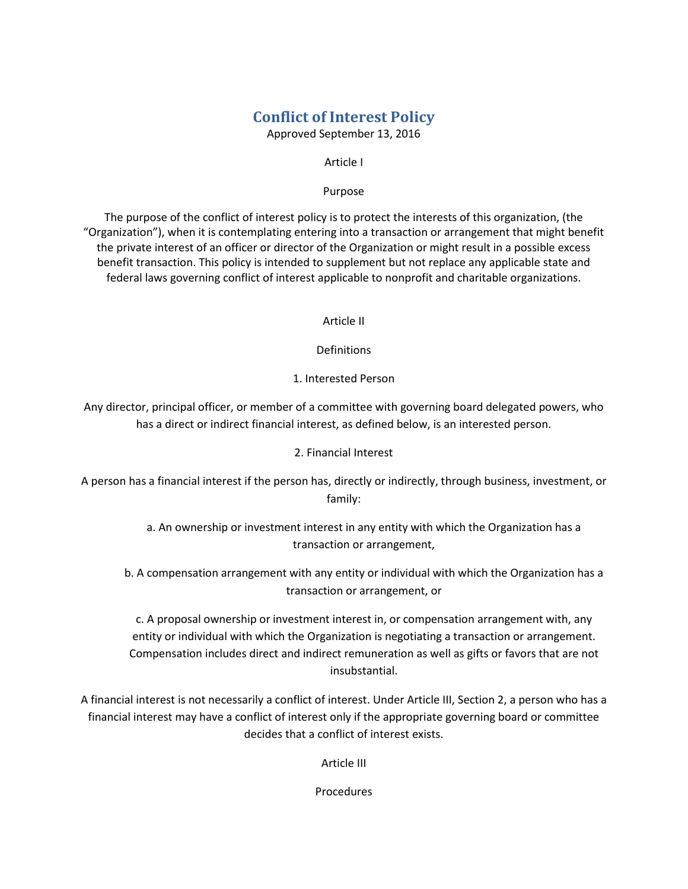## **Conflict of Interest Policy**

Approved September 13, 2016

#### Article I

#### Purpose

The purpose of the conflict of interest policy is to protect the interests of this organization, (the "Organization"), when it is contemplating entering into a transaction or arrangement that might benefit the private interest of an officer or director of the Organization or might result in a possible excess benefit transaction. This policy is intended to supplement but not replace any applicable state and federal laws governing conflict of interest applicable to nonprofit and charitable organizations.

Article II

Definitions

1. Interested Person

Any director, principal officer, or member of a committee with governing board delegated powers, who has a direct or indirect financial interest, as defined below, is an interested person.

### 2. Financial Interest

A person has a financial interest if the person has, directly or indirectly, through business, investment, or family:

> a. An ownership or investment interest in any entity with which the Organization has a transaction or arrangement,

b. A compensation arrangement with any entity or individual with which the Organization has a transaction or arrangement, or

c. A proposal ownership or investment interest in, or compensation arrangement with, any entity or individual with which the Organization is negotiating a transaction or arrangement. Compensation includes direct and indirect remuneration as well as gifts or favors that are not insubstantial.

A financial interest is not necessarily a conflict of interest. Under Article III, Section 2, a person who has a financial interest may have a conflict of interest only if the appropriate governing board or committee decides that a conflict of interest exists.

Article III

Procedures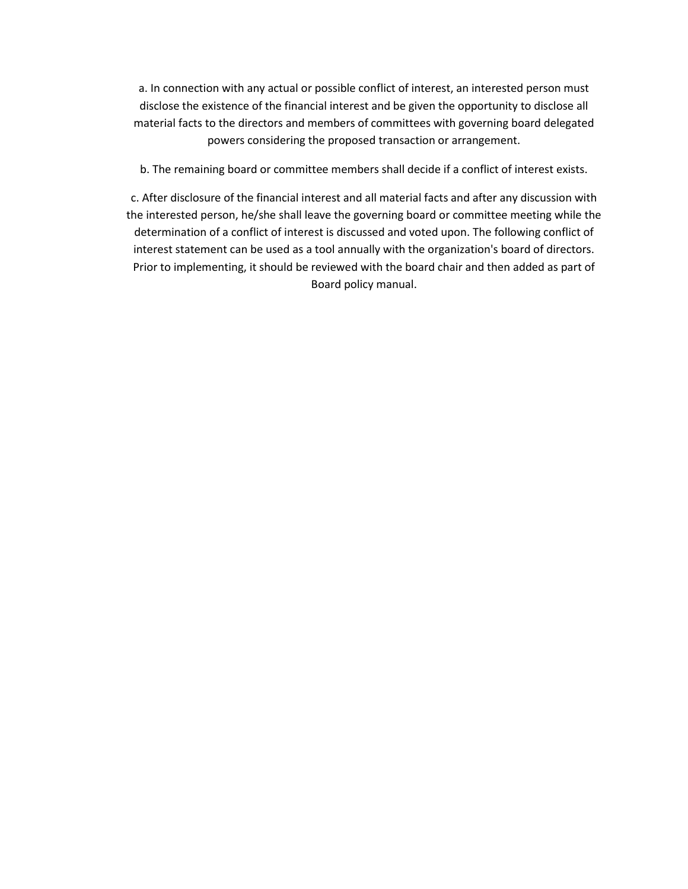a. In connection with any actual or possible conflict of interest, an interested person must disclose the existence of the financial interest and be given the opportunity to disclose all material facts to the directors and members of committees with governing board delegated powers considering the proposed transaction or arrangement.

b. The remaining board or committee members shall decide if a conflict of interest exists.

c. After disclosure of the financial interest and all material facts and after any discussion with the interested person, he/she shall leave the governing board or committee meeting while the determination of a conflict of interest is discussed and voted upon. The following conflict of interest statement can be used as a tool annually with the organization's board of directors. Prior to implementing, it should be reviewed with the board chair and then added as part of Board policy manual.